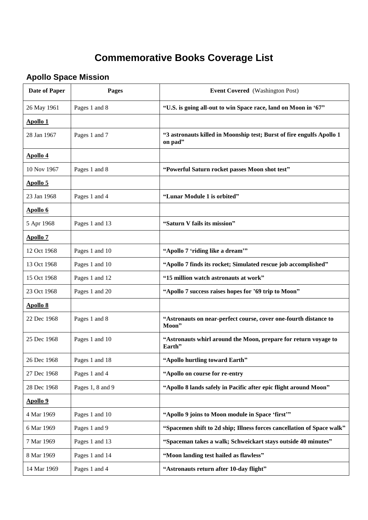## **Commemorative Books Coverage List**

## **Apollo Space Mission**

| <b>Date of Paper</b> | <b>Pages</b>     | <b>Event Covered</b> (Washington Post)                                           |
|----------------------|------------------|----------------------------------------------------------------------------------|
| 26 May 1961          | Pages 1 and 8    | "U.S. is going all-out to win Space race, land on Moon in '67"                   |
| Apollo 1             |                  |                                                                                  |
| 28 Jan 1967          | Pages 1 and 7    | "3 astronauts killed in Moonship test; Burst of fire engulfs Apollo 1<br>on pad" |
| <b>Apollo 4</b>      |                  |                                                                                  |
| 10 Nov 1967          | Pages 1 and 8    | "Powerful Saturn rocket passes Moon shot test"                                   |
| <b>Apollo 5</b>      |                  |                                                                                  |
| 23 Jan 1968          | Pages 1 and 4    | "Lunar Module 1 is orbited"                                                      |
| <b>Apollo 6</b>      |                  |                                                                                  |
| 5 Apr 1968           | Pages 1 and 13   | "Saturn V fails its mission"                                                     |
| <b>Apollo 7</b>      |                  |                                                                                  |
| 12 Oct 1968          | Pages 1 and 10   | "Apollo 7 'riding like a dream'"                                                 |
| 13 Oct 1968          | Pages 1 and 10   | "Apollo 7 finds its rocket; Simulated rescue job accomplished"                   |
| 15 Oct 1968          | Pages 1 and 12   | "15 million watch astronauts at work"                                            |
| 23 Oct 1968          | Pages 1 and 20   | "Apollo 7 success raises hopes for '69 trip to Moon"                             |
| <b>Apollo 8</b>      |                  |                                                                                  |
| 22 Dec 1968          | Pages 1 and 8    | "Astronauts on near-perfect course, cover one-fourth distance to<br>Moon"        |
| 25 Dec 1968          | Pages 1 and 10   | "Astronauts whirl around the Moon, prepare for return voyage to<br>Earth"        |
| 26 Dec 1968          | Pages 1 and 18   | "Apollo hurtling toward Earth"                                                   |
| 27 Dec 1968          | Pages 1 and 4    | "Apollo on course for re-entry                                                   |
| 28 Dec 1968          | Pages 1, 8 and 9 | "Apollo 8 lands safely in Pacific after epic flight around Moon"                 |
| <b>Apollo 9</b>      |                  |                                                                                  |
| 4 Mar 1969           | Pages 1 and 10   | "Apollo 9 joins to Moon module in Space 'first'"                                 |
| 6 Mar 1969           | Pages 1 and 9    | "Spacemen shift to 2d ship; Illness forces cancellation of Space walk"           |
| 7 Mar 1969           | Pages 1 and 13   | "Spaceman takes a walk; Schweickart stays outside 40 minutes"                    |
| 8 Mar 1969           | Pages 1 and 14   | "Moon landing test hailed as flawless"                                           |
| 14 Mar 1969          | Pages 1 and 4    | "Astronauts return after 10-day flight"                                          |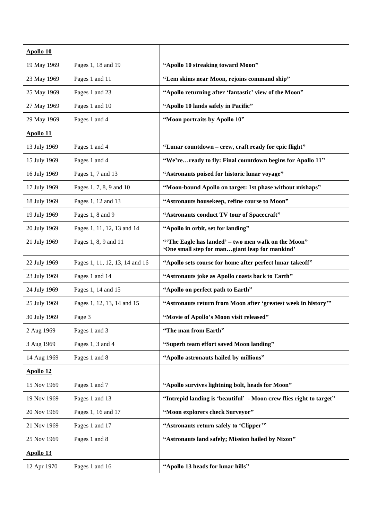| <b>Apollo 10</b> |                                |                                                                                                      |
|------------------|--------------------------------|------------------------------------------------------------------------------------------------------|
| 19 May 1969      | Pages 1, 18 and 19             | "Apollo 10 streaking toward Moon"                                                                    |
| 23 May 1969      | Pages 1 and 11                 | "Lem skims near Moon, rejoins command ship"                                                          |
| 25 May 1969      | Pages 1 and 23                 | "Apollo returning after 'fantastic' view of the Moon"                                                |
| 27 May 1969      | Pages 1 and 10                 | "Apollo 10 lands safely in Pacific"                                                                  |
| 29 May 1969      | Pages 1 and 4                  | "Moon portraits by Apollo 10"                                                                        |
| <b>Apollo 11</b> |                                |                                                                                                      |
| 13 July 1969     | Pages 1 and 4                  | "Lunar countdown - crew, craft ready for epic flight"                                                |
| 15 July 1969     | Pages 1 and 4                  | "We'reready to fly: Final countdown begins for Apollo 11"                                            |
| 16 July 1969     | Pages 1, 7 and 13              | "Astronauts poised for historic lunar voyage"                                                        |
| 17 July 1969     | Pages 1, 7, 8, 9 and 10        | "Moon-bound Apollo on target: 1st phase without mishaps"                                             |
| 18 July 1969     | Pages 1, 12 and 13             | "Astronauts housekeep, refine course to Moon"                                                        |
| 19 July 1969     | Pages 1, 8 and 9               | "Astronauts conduct TV tour of Spacecraft"                                                           |
| 20 July 1969     | Pages 1, 11, 12, 13 and 14     | "Apollo in orbit, set for landing"                                                                   |
| 21 July 1969     | Pages 1, 8, 9 and 11           | "The Eagle has landed' - two men walk on the Moon"<br>'One small step for mangiant leap for mankind' |
| 22 July 1969     | Pages 1, 11, 12, 13, 14 and 16 | "Apollo sets course for home after perfect lunar takeoff"                                            |
| 23 July 1969     | Pages 1 and 14                 | "Astronauts joke as Apollo coasts back to Earth"                                                     |
| 24 July 1969     | Pages 1, 14 and 15             | "Apollo on perfect path to Earth"                                                                    |
| 25 July 1969     | Pages 1, 12, 13, 14 and 15     | "Astronauts return from Moon after 'greatest week in history"                                        |
| 30 July 1969     | Page 3                         | "Movie of Apollo's Moon visit released"                                                              |
| 2 Aug 1969       | Pages 1 and 3                  | "The man from Earth"                                                                                 |
| 3 Aug 1969       | Pages 1, 3 and 4               | "Superb team effort saved Moon landing"                                                              |
| 14 Aug 1969      | Pages 1 and 8                  | "Apollo astronauts hailed by millions"                                                               |
| <b>Apollo 12</b> |                                |                                                                                                      |
| 15 Nov 1969      | Pages 1 and 7                  | "Apollo survives lightning bolt, heads for Moon"                                                     |
| 19 Nov 1969      | Pages 1 and 13                 | "Intrepid landing is 'beautiful' - Moon crew flies right to target"                                  |
| 20 Nov 1969      | Pages 1, 16 and 17             | "Moon explorers check Surveyor"                                                                      |
| 21 Nov 1969      | Pages 1 and 17                 | "Astronauts return safely to 'Clipper'"                                                              |
| 25 Nov 1969      | Pages 1 and 8                  | "Astronauts land safely; Mission hailed by Nixon"                                                    |
| <b>Apollo 13</b> |                                |                                                                                                      |
| 12 Apr 1970      | Pages 1 and 16                 | "Apollo 13 heads for lunar hills"                                                                    |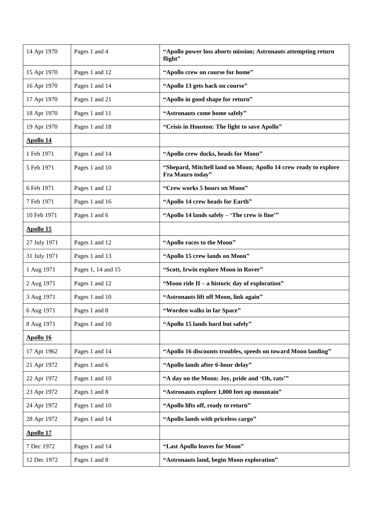| 14 Apr 1970      | Pages 1 and 4      | "Apollo power loss aborts mission; Astronauts attempting return<br>flight"           |
|------------------|--------------------|--------------------------------------------------------------------------------------|
| 15 Apr 1970      | Pages 1 and 12     | "Apollo crew on course for home"                                                     |
| 16 Apr 1970      | Pages 1 and 14     | "Apollo 13 gets back on course"                                                      |
| 17 Apr 1970      | Pages 1 and 21     | "Apollo in good shape for return"                                                    |
| 18 Apr 1970      | Pages 1 and 11     | "Astronauts come home safely"                                                        |
| 19 Apr 1970      | Pages 1 and 18     | "Crisis in Houston: The fight to save Apollo"                                        |
| <b>Apollo 14</b> |                    |                                                                                      |
| 1 Feb 1971       | Pages 1 and 14     | "Apollo crew docks, heads for Moon"                                                  |
| 5 Feb 1971       | Pages 1 and 10     | "Shepard, Mitchell land on Moon; Apollo 14 crew ready to explore<br>Fra Mauro today" |
| 6 Feb 1971       | Pages 1 and 12     | "Crew works 5 hours on Moon"                                                         |
| 7 Feb 1971       | Pages 1 and 16     | "Apollo 14 crew heads for Earth"                                                     |
| 10 Feb 1971      | Pages 1 and 6      | "Apollo 14 lands safely - 'The crew is fine'"                                        |
| <b>Apollo 15</b> |                    |                                                                                      |
| 27 July 1971     | Pages 1 and 12     | "Apollo races to the Moon"                                                           |
| 31 July 1971     | Pages 1 and 13     | "Apollo 15 crew lands on Moon"                                                       |
| 1 Aug 1971       | Pages 1, 14 and 15 | "Scott, Irwin explore Moon in Rover"                                                 |
| 2 Aug 1971       | Pages 1 and 12     | "Moon ride II – a historic day of exploration"                                       |
| 3 Aug 1971       | Pages 1 and 10     | "Astronauts lift off Moon, link again"                                               |
| 6 Aug 1971       | Pages 1 and 8      | "Worden walks in far Space"                                                          |
| 8 Aug 1971       | Pages 1 and 10     | "Apollo 15 lands hard but safely"                                                    |
| <b>Apollo 16</b> |                    |                                                                                      |
| 17 Apr 1962      | Pages 1 and 14     | "Apollo 16 discounts troubles, speeds on toward Moon landing"                        |
| 21 Apr 1972      | Pages 1 and 6      | "Apollo lands after 6-hour delay"                                                    |
| 22 Apr 1972      | Pages 1 and 10     | "A day on the Moon: Joy, pride and 'Oh, rats'"                                       |
| 23 Apr 1972      | Pages 1 and 8      | "Astronauts explore 1,000 feet up mountain"                                          |
| 24 Apr 1972      | Pages 1 and 10     | "Apollo lifts off, ready to return"                                                  |
| 28 Apr 1972      | Pages 1 and 14     | "Apollo lands with priceless cargo"                                                  |
| <b>Apollo 17</b> |                    |                                                                                      |
| 7 Dec 1972       | Pages 1 and 14     | "Last Apollo leaves for Moon"                                                        |
| 12 Dec 1972      | Pages 1 and 8      | "Astronauts land, begin Moon exploration"                                            |